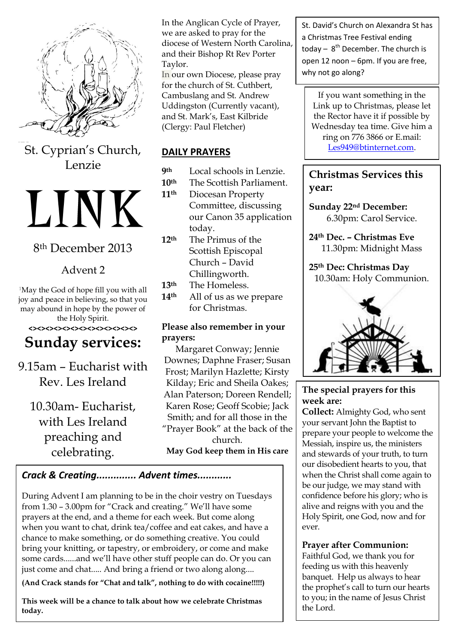

St. Cyprian's Church, Lenzie

# LINK

# 8th December 2013

# Advent 2

<sup>1</sup>May the God of hope fill you with all joy and peace in believing, so that you may abound in hope by the power of the Holy Spirit.

#### **<><><><><><><><><><><><><>**

# **Sunday services:**

9.15am – Eucharist with Rev. Les Ireland

10.30am- Eucharist, with Les Ireland preaching and celebrating.

In the Anglican Cycle of Prayer, we are asked to pray for the diocese of Western North Carolina, and their Bishop Rt Rev Porter Taylor.

In our own Diocese, please pray for the church of St. Cuthbert, Cambuslang and St. Andrew Uddingston (Currently vacant), and St. Mark's, East Kilbride (Clergy: Paul Fletcher)

### **DAILY PRAYERS**

- **9th** Local schools in Lenzie.
- **10th** The Scottish Parliament.
- **11th** Diocesan Property Committee, discussing our Canon 35 application today.
- **12th** The Primus of the Scottish Episcopal Church – David Chillingworth.
- **13th** The Homeless.
- **14th** All of us as we prepare for Christmas.

#### **Please also remember in your prayers:**

Margaret Conway; Jennie Downes; Daphne Fraser; Susan Frost; Marilyn Hazlette; Kirsty Kilday; Eric and Sheila Oakes; Alan Paterson; Doreen Rendell; Karen Rose; Geoff Scobie; Jack Smith; and for all those in the "Prayer Book" at the back of the church. **May God keep them in His care**

#### *Crack & Creating.............. Advent times............*

During Advent I am planning to be in the choir vestry on Tuesdays from 1.30 – 3.00pm for "Crack and creating." We'll have some prayers at the end, and a theme for each week. But come along when you want to chat, drink tea/coffee and eat cakes, and have a chance to make something, or do something creative. You could bring your knitting, or tapestry, or embroidery, or come and make some cards......and we'll have other stuff people can do. Or you can just come and chat..... And bring a friend or two along along....

**(And Crack stands for "Chat and talk", nothing to do with cocaine!!!!!)** 

**This week will be a chance to talk about how we celebrate Christmas today.**

St. David's Church on Alexandra St has a Christmas Tree Festival ending today  $-8^{th}$  December. The church is open 12 noon – 6pm. If you are free, why not go along?

If you want something in the Link up to Christmas, please let the Rector have it if possible by Wednesday tea time. Give him a ring on 776 3866 or E.mail: [Les949@btinternet.com.](mailto:Les949@btinternet.com)

**Christmas Services this year:**

**Sunday 22nd December:** 6.30pm: Carol Service.

**24th Dec. – Christmas Eve** 11.30pm: Midnight Mass

**25th Dec: Christmas Day** 10.30am: Holy Communion.



#### **The special prayers for this week are:**

**Collect:** Almighty God, who sent your servant John the Baptist to prepare your people to welcome the Messiah, inspire us, the ministers and stewards of your truth, to turn our disobedient hearts to you, that when the Christ shall come again to be our judge, we may stand with confidence before his glory; who is alive and reigns with you and the Holy Spirit, one God, now and for ever.

#### **Prayer after Communion:**

**Hymn: 18:** (Make way, make way) Faithful God, we thank you for feeding us with this heavenly banquet. Help us always to hear the prophet's call to turn our hearts to you; in the name of Jesus Christ the Lord.